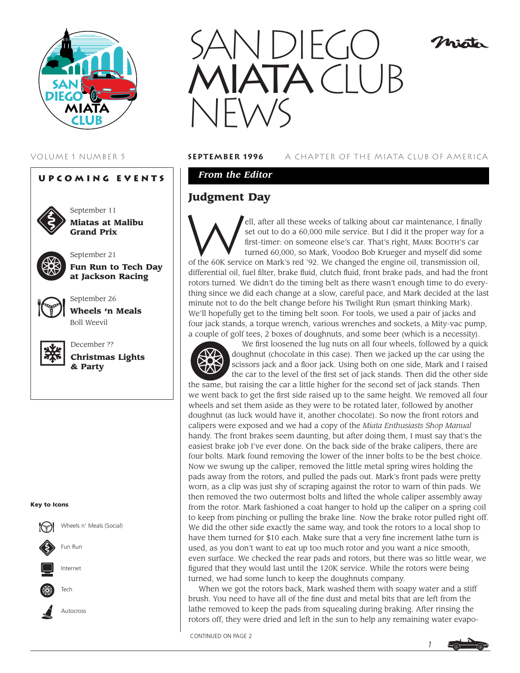





September 11 **Miatas at Malibu Grand Prix**

September 21



**Fun Run to Tech Day at Jackson Racing**



September 26 **Wheels 'n Meals** Boll Weevil



**Christmas Lights & Party**

#### **Key to Icons**





#### VOLUME 1 NUMBER 5 **september 1996** A CHAPTER OF THE MIATA CLUB OF AMERICA

misto

### *From the Editor*

## **Judgment Day**

ell, after all these weeks of talking about car maintenance, I finally set out to do a 60,000 mile service. But I did it the proper way for a first-timer: on someone else's car. That's right, MARK BOOTH'S car turned 60,000, so Mark, Voodoo Bob Krueger and myself did some of the 60K service on Mark's red '92. We changed the engine oil, transmission oil, differential oil, fuel filter, brake fluid, clutch fluid, front brake pads, and had the front rotors turned. We didn't do the timing belt as there wasn't enough time to do everything since we did each change at a slow, careful pace, and Mark decided at the last minute not to do the belt change before his Twilight Run (smart thinking Mark). We'll hopefully get to the timing belt soon. For tools, we used a pair of jacks and four jack stands, a torque wrench, various wrenches and sockets, a Mity-vac pump, a couple of golf tees, 2 boxes of doughnuts, and some beer (which is a necessity).



We first loosened the lug nuts on all four wheels, followed by a quick doughnut (chocolate in this case). Then we jacked up the car using the scissors jack and a floor jack. Using both on one side, Mark and I raised the car to the level of the first set of jack stands. Then did the other side the same, but raising the car a little higher for the second set of jack stands. Then we went back to get the first side raised up to the same height. We removed all four wheels and set them aside as they were to be rotated later, followed by another doughnut (as luck would have it, another chocolate). So now the front rotors and calipers were exposed and we had a copy of the *Miata Enthusiasts Shop Manual* handy. The front brakes seem daunting, but after doing them, I must say that's the easiest brake job I've ever done. On the back side of the brake calipers, there are four bolts. Mark found removing the lower of the inner bolts to be the best choice. Now we swung up the caliper, removed the little metal spring wires holding the pads away from the rotors, and pulled the pads out. Mark's front pads were pretty worn, as a clip was just shy of scraping against the rotor to warn of thin pads. We then removed the two outermost bolts and lifted the whole caliper assembly away from the rotor. Mark fashioned a coat hanger to hold up the caliper on a spring coil to keep from pinching or pulling the brake line. Now the brake rotor pulled right off. We did the other side exactly the same way, and took the rotors to a local shop to have them turned for \$10 each. Make sure that a very fine increment lathe turn is used, as you don't want to eat up too much rotor and you want a nice smooth, even surface. We checked the rear pads and rotors, but there was so little wear, we figured that they would last until the 120K service. While the rotors were being turned, we had some lunch to keep the doughnuts company.

When we got the rotors back, Mark washed them with soapy water and a stiff brush. You need to have all of the fine dust and metal bits that are left from the lathe removed to keep the pads from squealing during braking. After rinsing the rotors off, they were dried and left in the sun to help any remaining water evapo-

CONTINUED ON PAGE 2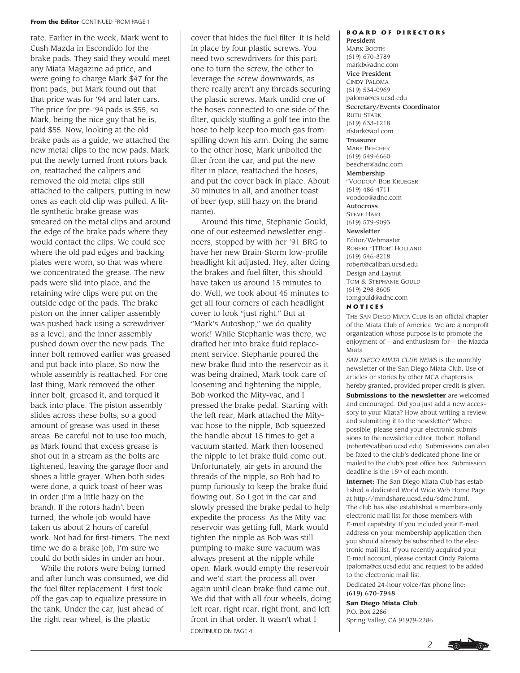#### **From the Editor** CONTINUED FROM PAGE 1

rate. Earlier in the week, Mark went to Cush Mazda in Escondido for the brake pads. They said they would meet any Miata Magazine ad price, and were going to charge Mark \$47 for the front pads, but Mark found out that that price was for '94 and later cars. The price for pre-'94 pads is \$55, so Mark, being the nice guy that he is, paid \$55. Now, looking at the old brake pads as a guide, we attached the new metal clips to the new pads. Mark put the newly turned front rotors back on, reattached the calipers and removed the old metal clips still attached to the calipers, putting in new ones as each old clip was pulled. A little synthetic brake grease was smeared on the metal clips and around the edge of the brake pads where they would contact the clips. We could see where the old pad edges and backing plates were worn, so that was where we concentrated the grease. The new pads were slid into place, and the retaining wire clips were put on the outside edge of the pads. The brake piston on the inner caliper assembly was pushed back using a screwdriver as a level, and the inner assembly pushed down over the new pads. The inner bolt removed earlier was greased and put back into place. So now the whole assembly is reattached. For one last thing, Mark removed the other inner bolt, greased it, and torqued it back into place. The piston assembly slides across these bolts, so a good amount of grease was used in these areas. Be careful not to use too much, as Mark found that excess grease is shot out in a stream as the bolts are tightened, leaving the garage floor and shoes a little grayer. When both sides were done, a quick toast of beer was in order (I'm a little hazy on the brand). If the rotors hadn't been turned, the whole job would have taken us about 2 hours of careful work. Not bad for first-timers. The next time we do a brake job, I'm sure we could do both sides in under an hour.

While the rotors were being turned and after lunch was consumed, we did the fuel filter replacement. I first took off the gas cap to equalize pressure in the tank. Under the car, just ahead of the right rear wheel, is the plastic

cover that hides the fuel filter. It is held in place by four plastic screws. You need two screwdrivers for this part: one to turn the screw, the other to leverage the screw downwards, as there really aren't any threads securing the plastic screws. Mark undid one of the hoses connected to one side of the filter, quickly stuffing a golf tee into the hose to help keep too much gas from spilling down his arm. Doing the same to the other hose, Mark unbolted the filter from the car, and put the new filter in place, reattached the hoses, and put the cover back in place. About 30 minutes in all, and another toast of beer (yep, still hazy on the brand name).

Around this time, Stephanie Gould, one of our esteemed newsletter engineers, stopped by with her '91 BRG to have her new Brain-Storm low-profile headlight kit adjusted. Hey, after doing the brakes and fuel filter, this should have taken us around 15 minutes to do. Well, we took about 45 minutes to get all four corners of each headlight cover to look "just right." But at "Mark's Autoshop," we do quality work! While Stephanie was there, we drafted her into brake fluid replacement service. Stephanie poured the new brake fluid into the reservoir as it was being drained, Mark took care of loosening and tightening the nipple, Bob worked the Mity-vac, and I pressed the brake pedal. Starting with the left rear, Mark attached the Mityvac hose to the nipple, Bob squeezed the handle about 15 times to get a vacuum started. Mark then loosened the nipple to let brake fluid come out. Unfortunately, air gets in around the threads of the nipple, so Bob had to pump furiously to keep the brake fluid flowing out. So I got in the car and slowly pressed the brake pedal to help expedite the process. As the Mity-vac reservoir was getting full, Mark would tighten the nipple as Bob was still pumping to make sure vacuum was always present at the nipple while open. Mark would empty the reservoir and we'd start the process all over again until clean brake fluid came out. We did that with all four wheels, doing left rear, right rear, right front, and left front in that order. It wasn't what I CONTINUED ON PAGE 4

### **Board of Directors**

President MARK BOOTH (619) 670-3789 markb@adnc.com Vice President CINDY PALOMA (619) 534-0969 paloma@cs.ucsd.edu Secretary/Events Coordinator RUTH STARK (619) 633-1218 rfstark@aol.com Treasurer MARY BEECHER (619) 549-6660 beecher@adnc.com Membership "VOODOO" BOB KRUEGER (619) 486-4711 voodoo@adnc.com Autocross STEVE HART (619) 579-9093 Newsletter Editor/Webmaster ROBERT "JTBOB" HOLLAND (619) 546-8218 robert@caliban.ucsd.edu Design and Layout TOM & STEPHANIE GOULD (619) 298-8605 tomgould@adnc.com

**Notices**

THE SAN DIEGO MIATA CLUB is an official chapter of the Miata Club of America. We are a nonprofit organization whose purpose is to promote the enjoyment of —and enthusiasm for— the Mazda Miata.

*SAN DIEGO MIATA CLUB NEWS* is the monthly newsletter of the San Diego Miata Club. Use of articles or stories by other MCA chapters is hereby granted, provided proper credit is given. **Submissions to the newsletter** are welcomed and encouraged. Did you just add a new accessory to your Miata? How about writing a review and submitting it to the newsletter? Where possible, please send your electronic submissions to the newsletter editor, Robert Holland (robert@caliban.ucsd.edu). Submissions can also be faxed to the club's dedicated phone line or mailed to the club's post office box. Submission deadline is the 15<sup>th</sup> of each month.

**Internet:** The San Diego Miata Club has established a dedicated World Wide Web Home Page at http://mmdshare.ucsd.edu/sdmc.html. The club has also established a members-only electronic mail list for those members with E-mail capability. If you included your E-mail address on your membership application then you should already be subscribed to the electronic mail list. If you recently acquired your E-mail account, please contact Cindy Paloma (paloma@cs.ucsd.edu) and request to be added to the electronic mail list.

Dedicated 24-hour voice/fax phone line: (619) 670-7948

**San Diego Miata Club** P.O. Box 2286 Spring Valley, CA 91979-2286

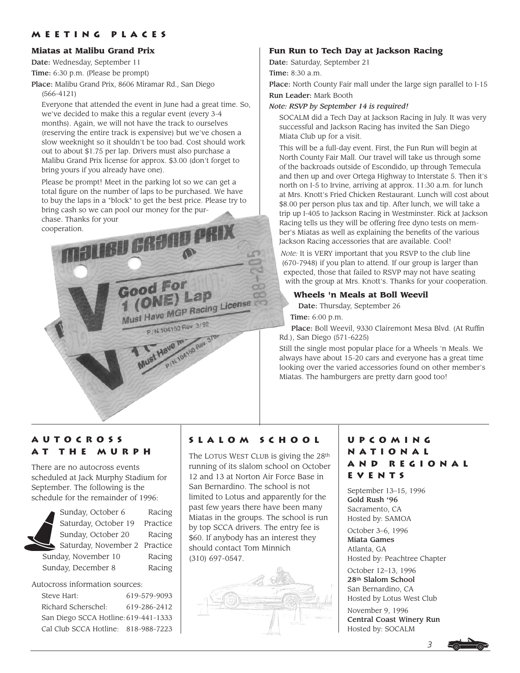### **Meeting Places**

#### **Miatas at Malibu Grand Prix**

Date: Wednesday, September 11

Time: 6:30 p.m. (Please be prompt)

Place: Malibu Grand Prix, 8606 Miramar Rd., San Diego (566-4121)

Everyone that attended the event in June had a great time. So, we've decided to make this a regular event (every 3-4 months). Again, we will not have the track to ourselves (reserving the entire track is expensive) but we've chosen a slow weeknight so it shouldn't be too bad. Cost should work out to about \$1.75 per lap. Drivers must also purchase a Malibu Grand Prix license for approx. \$3.00 (don't forget to bring yours if you already have one).

Please be prompt! Meet in the parking lot so we can get a total figure on the number of laps to be purchased. We have to buy the laps in a "block" to get the best price. Please try to bring cash so we can pool our money for the purchase. Thanks for your

cooperation.



### **Fun Run to Tech Day at Jackson Racing**

Date: Saturday, September 21

Time: 8:30 a.m.

Place: North County Fair mall under the large sign parallel to I-15 Run Leader: Mark Booth

#### *Note: RSVP by September 14 is required!*

SOCALM did a Tech Day at Jackson Racing in July. It was very successful and Jackson Racing has invited the San Diego Miata Club up for a visit.

This will be a full-day event. First, the Fun Run will begin at North County Fair Mall. Our travel will take us through some of the backroads outside of Escondido, up through Temecula and then up and over Ortega Highway to Interstate 5. Then it's north on I-5 to Irvine, arriving at approx. 11:30 a.m. for lunch at Mrs. Knott's Fried Chicken Restaurant. Lunch will cost about \$8.00 per person plus tax and tip. After lunch, we will take a trip up I-405 to Jackson Racing in Westminster. Rick at Jackson Racing tells us they will be offering free dyno tests on member's Miatas as well as explaining the benefits of the various Jackson Racing accessories that are available. Cool!

*Note:* It is VERY important that you RSVP to the club line (670-7948) if you plan to attend. If our group is larger than expected, those that failed to RSVP may not have seating with the group at Mrs. Knott's. Thanks for your cooperation.

### **Wheels 'n Meals at Boll Weevil**

Date: Thursday, September 26

Time: 6:00 p.m.

Place: Boll Weevil, 9330 Clairemont Mesa Blvd. (At Ruffin Rd.), San Diego (571-6225)

Still the single most popular place for a Wheels 'n Meals. We always have about 15-20 cars and everyone has a great time looking over the varied accessories found on other member's Miatas. The hamburgers are pretty darn good too!

## **Autocross at the Murph**

There are no autocross events scheduled at Jack Murphy Stadium for September. The following is the schedule for the remainder of 1996:



Autocross information sources:

| Steve Hart:                          | 619-579-9093 |
|--------------------------------------|--------------|
| Richard Scherschel:                  | 619-286-2412 |
| San Diego SCCA Hotline: 619-441-1333 |              |
| Cal Club SCCA Hotline: 818-988-7223  |              |

### **slalom school**

The LOTUS WEST CLUB is giving the 28<sup>th</sup> running of its slalom school on October 12 and 13 at Norton Air Force Base in San Bernardino. The school is not limited to Lotus and apparently for the past few years there have been many Miatas in the groups. The school is run by top SCCA drivers. The entry fee is \$60. If anybody has an interest they should contact Tom Minnich (310) 697-0547.



### **Upcoming National and Regional Events**

September 13–15, 1996 Gold Rush '96 Sacramento, CA Hosted by: SAMOA

October 3–6, 1996 Miata Games Atlanta, GA Hosted by: Peachtree Chapter

October 12–13, 1996 28th Slalom School San Bernardino, CA Hosted by Lotus West Club

November 9, 1996 Central Coast Winery Run Hosted by: SOCALM

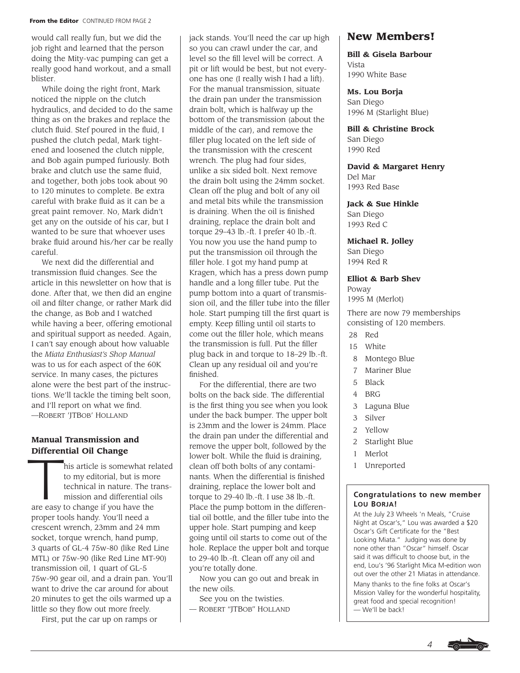#### **From the Editor CONTINUED FROM PAGE 2**

would call really fun, but we did the job right and learned that the person doing the Mity-vac pumping can get a really good hand workout, and a small blister.

While doing the right front, Mark noticed the nipple on the clutch hydraulics, and decided to do the same thing as on the brakes and replace the clutch fluid. Stef poured in the fluid, I pushed the clutch pedal, Mark tightened and loosened the clutch nipple, and Bob again pumped furiously. Both brake and clutch use the same fluid, and together, both jobs took about 90 to 120 minutes to complete. Be extra careful with brake fluid as it can be a great paint remover. No, Mark didn't get any on the outside of his car, but I wanted to be sure that whoever uses brake fluid around his/her car be really careful.

We next did the differential and transmission fluid changes. See the article in this newsletter on how that is done. After that, we then did an engine oil and filter change, or rather Mark did the change, as Bob and I watched while having a beer, offering emotional and spiritual support as needed. Again, I can't say enough about how valuable the *Miata Enthusiast's Shop Manual*  was to us for each aspect of the 60K service. In many cases, the pictures alone were the best part of the instructions. We'll tackle the timing belt soon, and I'll report on what we find. —ROBERT 'JTBOB' HOLLAND

### **Manual Transmission and Differential Oil Change**

**Differential Oil Change**<br>his article is somewhat related<br>to my editorial, but is more<br>technical in nature. The trans-<br>mission and differential oils to my editorial, but is more technical in nature. The transmission and differential oils are easy to change if you have the proper tools handy. You'll need a crescent wrench, 23mm and 24 mm socket, torque wrench, hand pump, 3 quarts of GL-4 75w-80 (like Red Line MTL) or 75w-90 (like Red Line MT-90) transmission oil, 1 quart of GL-5 75w-90 gear oil, and a drain pan. You'll want to drive the car around for about 20 minutes to get the oils warmed up a little so they flow out more freely.

First, put the car up on ramps or

jack stands. You'll need the car up high so you can crawl under the car, and level so the fill level will be correct. A pit or lift would be best, but not everyone has one (I really wish I had a lift). For the manual transmission, situate the drain pan under the transmission drain bolt, which is halfway up the bottom of the transmission (about the middle of the car), and remove the filler plug located on the left side of the transmission with the crescent wrench. The plug had four sides, unlike a six sided bolt. Next remove the drain bolt using the 24mm socket. Clean off the plug and bolt of any oil and metal bits while the transmission is draining. When the oil is finished draining, replace the drain bolt and torque 29–43 lb.-ft. I prefer 40 lb.-ft. You now you use the hand pump to put the transmission oil through the filler hole. I got my hand pump at Kragen, which has a press down pump handle and a long filler tube. Put the pump bottom into a quart of transmission oil, and the filler tube into the filler hole. Start pumping till the first quart is empty. Keep filling until oil starts to come out the filler hole, which means the transmission is full. Put the filler plug back in and torque to 18–29 lb.-ft. Clean up any residual oil and you're finished.

For the differential, there are two bolts on the back side. The differential is the first thing you see when you look under the back bumper. The upper bolt is 23mm and the lower is 24mm. Place the drain pan under the differential and remove the upper bolt, followed by the lower bolt. While the fluid is draining, clean off both bolts of any contaminants. When the differential is finished draining, replace the lower bolt and torque to 29-40 lb.-ft. I use 38 lb.-ft. Place the pump bottom in the differential oil bottle, and the filler tube into the upper hole. Start pumping and keep going until oil starts to come out of the hole. Replace the upper bolt and torque to 29-40 lb.-ft. Clean off any oil and you're totally done.

Now you can go out and break in the new oils.

See you on the twisties.

— ROBERT "JTBOB" HOLLAND

### **New Members!**

**Bill & Gisela Barbour** Vista 1990 White Base

**Ms. Lou Borja** San Diego 1996 M (Starlight Blue)

**Bill & Christine Brock** San Diego 1990 Red

**David & Margaret Henry** Del Mar 1993 Red Base

**Jack & Sue Hinkle** San Diego 1993 Red C

**Michael R. Jolley** San Diego 1994 Red R

#### **Elliot & Barb Shev**

Poway 1995 M (Merlot)

There are now 79 memberships consisting of 120 members.

- 28 Red
- 15 White
- 8 Montego Blue
- 7 Mariner Blue
- 5 Black
- 4 BRG
- 3 Laguna Blue
- 3 Silver
- 2 Yellow
- 2 Starlight Blue
- 1 Merlot
- 1 Unreported

#### **Congratulations to new member LOU BORJA!**

At the July 23 Wheels 'n Meals, "Cruise Night at Oscar's," Lou was awarded a \$20 Oscar's Gift Certificate for the "Best Looking Miata." Judging was done by none other than "Oscar" himself. Oscar said it was difficult to choose but, in the end, Lou's '96 Starlight Mica M-edition won out over the other 21 Miatas in attendance. Many thanks to the fine folks at Oscar's Mission Valley for the wonderful hospitality, great food and special recognition! — We'll be back!

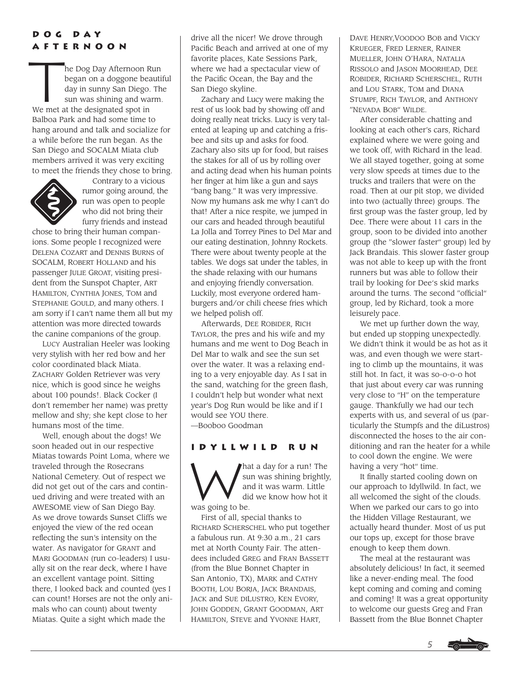## **Dog Day Afternoon**

**A F I E K N O O N**<br>he Dog Day Afternoon Run<br>began on a doggone beauti<br>day in sunny San Diego. The sun was shining and warm began on a doggone beautiful day in sunny San Diego. The sun was shining and warm. We met at the designated spot in Balboa Park and had some time to hang around and talk and socialize for a while before the run began. As the San Diego and SOCALM Miata club members arrived it was very exciting to meet the friends they chose to bring.



Contrary to a vicious rumor going around, the run was open to people who did not bring their furry friends and instead

chose to bring their human companions. Some people I recognized were DELENA COZART and DENNIS BURNS of SOCALM, ROBERT HOLLAND and his passenger JULIE GROAT, visiting president from the Sunspot Chapter, ART HAMILTON, CYNTHIA JONES, TOM and STEPHANIE GOULD, and many others. I am sorry if I can't name them all but my attention was more directed towards the canine companions of the group.

LUCY Australian Heeler was looking very stylish with her red bow and her color coordinated black Miata. ZACHARY Golden Retriever was very nice, which is good since he weighs about 100 pounds!. Black Cocker (I don't remember her name) was pretty mellow and shy; she kept close to her humans most of the time.

Well, enough about the dogs! We soon headed out in our respective Miatas towards Point Loma, where we traveled through the Rosecrans National Cemetery. Out of respect we did not get out of the cars and continued driving and were treated with an AWESOME view of San Diego Bay. As we drove towards Sunset Cliffs we enjoyed the view of the red ocean reflecting the sun's intensity on the water. As navigator for GRANT and MARI GOODMAN (run co-leaders) I usually sit on the rear deck, where I have an excellent vantage point. Sitting there, I looked back and counted (yes I can count! Horses are not the only animals who can count) about twenty Miatas. Quite a sight which made the

drive all the nicer! We drove through Pacific Beach and arrived at one of my favorite places, Kate Sessions Park, where we had a spectacular view of the Pacific Ocean, the Bay and the San Diego skyline.

Zachary and Lucy were making the rest of us look bad by showing off and doing really neat tricks. Lucy is very talented at leaping up and catching a frisbee and sits up and asks for food. Zachary also sits up for food, but raises the stakes for all of us by rolling over and acting dead when his human points her finger at him like a gun and says "bang bang." It was very impressive. Now my humans ask me why I can't do that! After a nice respite, we jumped in our cars and headed through beautiful La Jolla and Torrey Pines to Del Mar and our eating destination, Johnny Rockets. There were about twenty people at the tables. We dogs sat under the tables, in the shade relaxing with our humans and enjoying friendly conversation. Luckily, most everyone ordered hamburgers and/or chili cheese fries which we helped polish off.

Afterwards, DEE ROBIDER, RICH TAYLOR, the pres and his wife and my humans and me went to Dog Beach in Del Mar to walk and see the sun set over the water. It was a relaxing ending to a very enjoyable day. As I sat in the sand, watching for the green flash, I couldn't help but wonder what next year's Dog Run would be like and if I would see YOU there. —Booboo Goodman

### **Idyllwild Run**

THE WILD IN CH sun was shining brightly, and it was warm. Little did we know how hot it was going to be.

First of all, special thanks to RICHARD SCHERSCHEL who put together a fabulous run. At 9:30 a.m., 21 cars met at North County Fair. The attendees included GREG and FRAN BASSETT (from the Blue Bonnet Chapter in San Antonio, TX), MARK and CATHY BOOTH, LOU BORJA, JACK BRANDAIS, JACK and SUE DILUSTRO, KEN EVORY, JOHN GODDEN, GRANT GOODMAN, ART HAMILTON, STEVE and YVONNE HART,

DAVE HENRY,VOODOO BOB and VICKY KRUEGER, FRED LERNER, RAINER MUELLER, JOHN O'HARA, NATALIA RISSOLO and JASON MOORHEAD, DEE ROBIDER, RICHARD SCHERSCHEL, RUTH and LOU STARK, TOM and DIANA STUMPF, RICH TAYLOR, and ANTHONY "NEVADA BOB" WILDE.

After considerable chatting and looking at each other's cars, Richard explained where we were going and we took off, with Richard in the lead. We all stayed together, going at some very slow speeds at times due to the trucks and trailers that were on the road. Then at our pit stop, we divided into two (actually three) groups. The first group was the faster group, led by Dee. There were about 11 cars in the group, soon to be divided into another group (the "slower faster" group) led by Jack Brandais. This slower faster group was not able to keep up with the front runners but was able to follow their trail by looking for Dee's skid marks around the turns. The second "official" group, led by Richard, took a more leisurely pace.

We met up further down the way, but ended up stopping unexpectedly. We didn't think it would be as hot as it was, and even though we were starting to climb up the mountains, it was still hot. In fact, it was so-o-o-o hot that just about every car was running very close to "H" on the temperature gauge. Thankfully we had our tech experts with us, and several of us (particularly the Stumpfs and the diLustros) disconnected the hoses to the air conditioning and ran the heater for a while to cool down the engine. We were having a very "hot" time.

It finally started cooling down on our approach to Idyllwild. In fact, we all welcomed the sight of the clouds. When we parked our cars to go into the Hidden Village Restaurant, we actually heard thunder. Most of us put our tops up, except for those brave enough to keep them down.

The meal at the restaurant was absolutely delicious! In fact, it seemed like a never-ending meal. The food kept coming and coming and coming and coming! It was a great opportunity to welcome our guests Greg and Fran Bassett from the Blue Bonnet Chapter

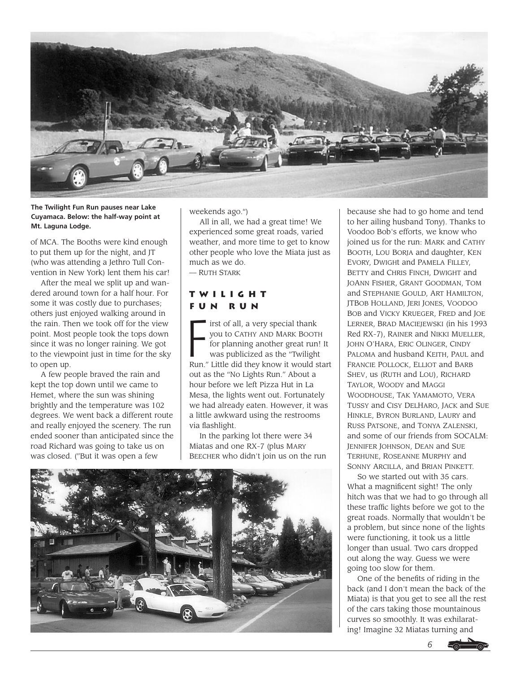

**The Twilight Fun Run pauses near Lake Cuyamaca. Below: the half-way point at Mt. Laguna Lodge.**

of MCA. The Booths were kind enough to put them up for the night, and JT (who was attending a Jethro Tull Convention in New York) lent them his car!

After the meal we split up and wandered around town for a half hour. For some it was costly due to purchases; others just enjoyed walking around in the rain. Then we took off for the view point. Most people took the tops down since it was no longer raining. We got to the viewpoint just in time for the sky to open up.

A few people braved the rain and kept the top down until we came to Hemet, where the sun was shining brightly and the temperature was 102 degrees. We went back a different route and really enjoyed the scenery. The run ended sooner than anticipated since the road Richard was going to take us on was closed. ("But it was open a few

weekends ago.")

All in all, we had a great time! We experienced some great roads, varied weather, and more time to get to know other people who love the Miata just as much as we do.

— RUTH STARK

### **Twilight Fun Run**

 $\ddot{F}$ irst of all, a very special thank you to CATHY AND MARK BOOTH for planning another great run! It was publicized as the "Twilight Run." Little did they know it would start out as the "No Lights Run." About a hour before we left Pizza Hut in La Mesa, the lights went out. Fortunately we had already eaten. However, it was a little awkward using the restrooms via flashlight.

In the parking lot there were 34 Miatas and one RX-7 (plus MARY BEECHER who didn't join us on the run



because she had to go home and tend to her ailing husband Tony). Thanks to Voodoo Bob's efforts, we know who joined us for the run: MARK and CATHY BOOTH, LOU BORJA and daughter, KEN EVORY, DWIGHt and PAMELA FILLEY, BETTY and CHRIS FINCH, DWIGHT and JOANN FISHER, GRANT GOODMAN, TOM and STEPHANIE GOULD, ART HAMILTON, JTBOB HOLLAND, JERI JONES, VOODOO BOB and VICKY KRUEGER, FRED and JOE LERNER, BRAD MACIEJEWSKI (in his 1993 Red RX-7), RAINER and NIKKI MUELLER, JOHN O'HARA, ERIC OLINGER, CINDY PALOMA and husband KEITH, PAUL and FRANCIE POLLOCK, ELLIOT and BARB SHEV, us (RUTH and LOU), RICHARD TAYLOR, WOODY and MAGGI WOODHOUSE, TAK YAMAMOTO, VERA TUSSY and CISY DELHARO, JACK and SUE HINKLE, BYRON BURLAND, LAURY and RUSS PATSONE, and TONYA ZALENSKI, and some of our friends from SOCALM: JENNIFER JOHNSON, DEAN and SUE TERHUNE, ROSEANNE MURPHY and SONNY ARCILLA, and BRIAN PINKETT.

So we started out with 35 cars. What a magnificent sight! The only hitch was that we had to go through all these traffic lights before we got to the great roads. Normally that wouldn't be a problem, but since none of the lights were functioning, it took us a little longer than usual. Two cars dropped out along the way. Guess we were going too slow for them.

One of the benefits of riding in the back (and I don't mean the back of the Miata) is that you get to see all the rest of the cars taking those mountainous curves so smoothly. It was exhilarating! Imagine 32 Miatas turning and

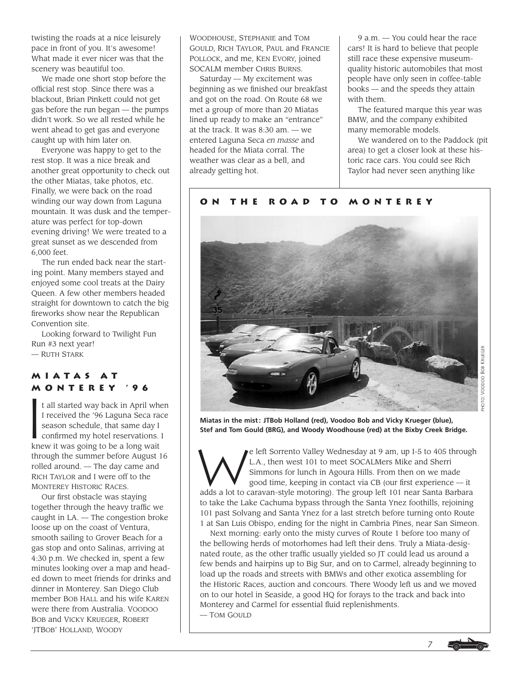twisting the roads at a nice leisurely pace in front of you. It's awesome! What made it ever nicer was that the scenery was beautiful too.

We made one short stop before the official rest stop. Since there was a blackout, Brian Pinkett could not get gas before the run began — the pumps didn't work. So we all rested while he went ahead to get gas and everyone caught up with him later on.

Everyone was happy to get to the rest stop. It was a nice break and another great opportunity to check out the other Miatas, take photos, etc. Finally, we were back on the road winding our way down from Laguna mountain. It was dusk and the temperature was perfect for top-down evening driving! We were treated to a great sunset as we descended from 6,000 feet.

The run ended back near the starting point. Many members stayed and enjoyed some cool treats at the Dairy Queen. A few other members headed straight for downtown to catch the big fireworks show near the Republican Convention site.

Looking forward to Twilight Fun Run #3 next year! — RUTH STARK

# **Miatas at**

**MONTEREY '96**<br>
t all started way back in April<br>
I received the '96 Laguna Seca<br>
season schedule, that same dangeration t all started way back in April when I received the '96 Laguna Seca race season schedule, that same day I confirmed my hotel reservations. I knew it was going to be a long wait through the summer before August 16 rolled around. — The day came and RICH TAYLOR and I were off to the MONTEREY HISTORIC RACES.

Our first obstacle was staying together through the heavy traffic we caught in LA. — The congestion broke loose up on the coast of Ventura, smooth sailing to Grover Beach for a gas stop and onto Salinas, arriving at 4:30 p.m. We checked in, spent a few minutes looking over a map and headed down to meet friends for drinks and dinner in Monterey. San Diego Club member BOB HALL and his wife KAREN were there from Australia. VOODOO BOB and VICKY KRUEGER, ROBERT 'JTBOB' HOLLAND, WOODY

WOODHOUSE, STEPHANIE and TOM GOULD, RICH TAYLOR, PAUL and FRANCIE POLLOCK, and me, KEN EVORY, joined SOCALM member CHRIS BURNS.

Saturday — My excitement was beginning as we finished our breakfast and got on the road. On Route 68 we met a group of more than 20 Miatas lined up ready to make an "entrance" at the track. It was 8:30 am. — we entered Laguna Seca *en masse* and headed for the Miata corral. The weather was clear as a bell, and already getting hot.

9 a.m. — You could hear the race cars! It is hard to believe that people still race these expensive museumquality historic automobiles that most people have only seen in coffee-table books — and the speeds they attain with them.

The featured marque this year was BMW, and the company exhibited many memorable models.

We wandered on to the Paddock (pit area) to get a closer look at these historic race cars. You could see Rich Taylor had never seen anything like

### **On the Road to Monterey**



**Miatas in the mist : JTBob Holland (red), Voodoo Bob and Vicky Krueger (blue), Stef and Tom Gould (BRG), and Woody Woodhouse (red) at the Bixby Creek Bridge.**

e left Sorrento Valley Wednesday at 9 am, up I-5 to 405 through L.A., then west 101 to meet SOCALMers Mike and Sherri<br>Simmons for lunch in Agoura Hills. From then on we made<br>good time. keeping in contact via CB (our first L.A., then west 101 to meet SOCALMers Mike and Sherri Simmons for lunch in Agoura Hills. From then on we made good time, keeping in contact via CB (our first experience — it adds a lot to caravan-style motoring). The group left 101 near Santa Barbara to take the Lake Cachuma bypass through the Santa Ynez foothills, rejoining 101 past Solvang and Santa Ynez for a last stretch before turning onto Route 1 at San Luis Obispo, ending for the night in Cambria Pines, near San Simeon.

Next morning: early onto the misty curves of Route 1 before too many of the bellowing herds of motorhomes had left their dens. Truly a Miata-designated route, as the other traffic usually yielded so JT could lead us around a few bends and hairpins up to Big Sur, and on to Carmel, already beginning to load up the roads and streets with BMWs and other exotica assembling for the Historic Races, auction and concours. There Woody left us and we moved on to our hotel in Seaside, a good HQ for forays to the track and back into Monterey and Carmel for essential fluid replenishments. — TOM GOULD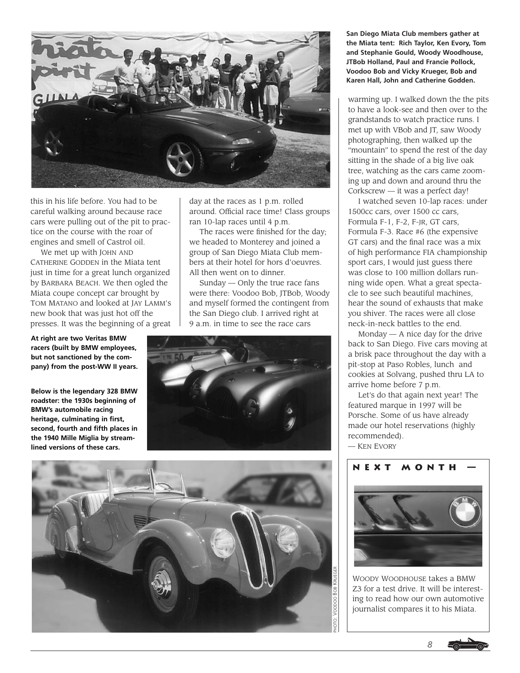

this in his life before. You had to be careful walking around because race cars were pulling out of the pit to practice on the course with the roar of engines and smell of Castrol oil.

We met up with JOHN AND CATHERINE GODDEN in the Miata tent just in time for a great lunch organized by BARBARA BEACH. We then ogled the Miata coupe concept car brought by TOM MATANO and looked at JAY LAMM's new book that was just hot off the presses. It was the beginning of a great

**At right are two Veritas BMW racers (built by BMW employees, but not sanctioned by the company) from the post-WW II years.**

**Below is the legendary 328 BMW roadster: the 1930s beginning of BMW's automobile racing heritage, culminating in first, second, fourth and fifth places in the 1940 Mille Miglia by streamlined versions of these cars.**

day at the races as 1 p.m. rolled around. Official race time! Class groups ran 10-lap races until 4 p.m.

The races were finished for the day; we headed to Monterey and joined a group of San Diego Miata Club members at their hotel for hors d'oeuvres. All then went on to dinner.

Sunday — Only the true race fans were there: Voodoo Bob, JTBob, Woody and myself formed the contingent from the San Diego club. I arrived right at 9 a.m. in time to see the race cars





**San Diego Miata Club members gather at the Miata tent: Rich Taylor, Ken Evory, Tom and Stephanie Gould, Woody Woodhouse, JTBob Holland, Paul and Francie Pollock, Voodoo Bob and Vicky Krueger, Bob and Karen Hall, John and Catherine Godden.**

warming up. I walked down the the pits to have a look-see and then over to the grandstands to watch practice runs. I met up with VBob and JT, saw Woody photographing, then walked up the "mountain" to spend the rest of the day sitting in the shade of a big live oak tree, watching as the cars came zooming up and down and around thru the Corkscrew — it was a perfect day!

I watched seven 10-lap races: under 1500cc cars, over 1500 cc cars, Formula F-1, F-2, F-JR, GT cars, Formula F-3. Race #6 (the expensive GT cars) and the final race was a mix of high performance FIA championship sport cars, I would just guess there was close to 100 million dollars running wide open. What a great spectacle to see such beautiful machines, hear the sound of exhausts that make you shiver. The races were all close neck-in-neck battles to the end.

Monday  $-$  A nice day for the drive back to San Diego. Five cars moving at a brisk pace throughout the day with a pit-stop at Paso Robles, lunch and cookies at Solvang, pushed thru LA to arrive home before 7 p.m.

Let's do that again next year! The featured marque in 1997 will be Porsche. Some of us have already made our hotel reservations (highly recommended).

— KEN EVORY



WOODY WOODHOUSE takes a BMW Z3 for a test drive. It will be interesting to read how our own automotive journalist compares it to his Miata.